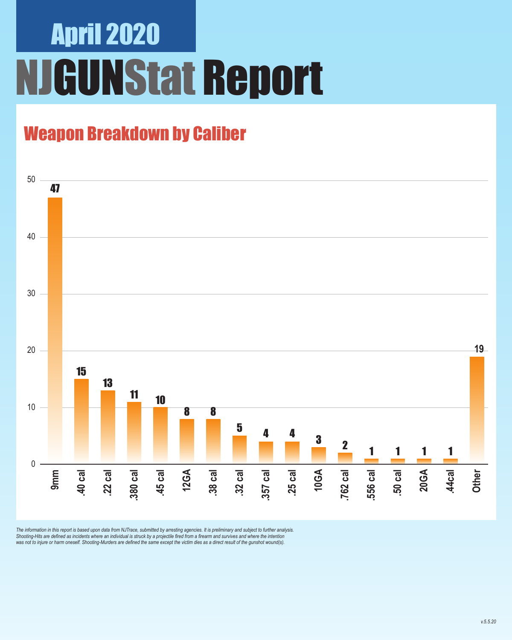### Weapon Breakdown by Caliber



The information in this report is based upon data from NJTrace, submitted by arresting agencies. It is preliminary and subject to further analysis.<br>Shooting-Hits are defined as incidents where an individual is struck by a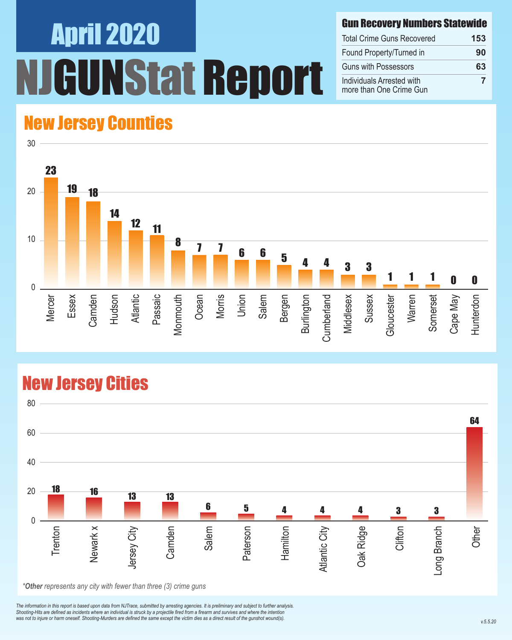#### Gun Recovery Numbers Statewide

| <b>Total Crime Guns Recovered</b>                    | 153 |
|------------------------------------------------------|-----|
| Found Property/Turned in                             | 90  |
| <b>Guns with Possessors</b>                          | 63  |
| Individuals Arrested with<br>more than One Crime Gun |     |

#### New Jersey Counties



#### New Jersey Cities



*\*Other represents any city with fewer than three (3) crime guns*

*The information in this report is based upon data from NJTrace, submitted by arresting agencies. It is preliminary and subject to further analysis. Shooting-Hits are defined as incidents where an individual is struck by a projectile fired from a firearm and survives and where the intention*  was not to injure or harm oneself. Shooting-Murders are defined the same except the victim dies as a direct result of the gunshot wound(s).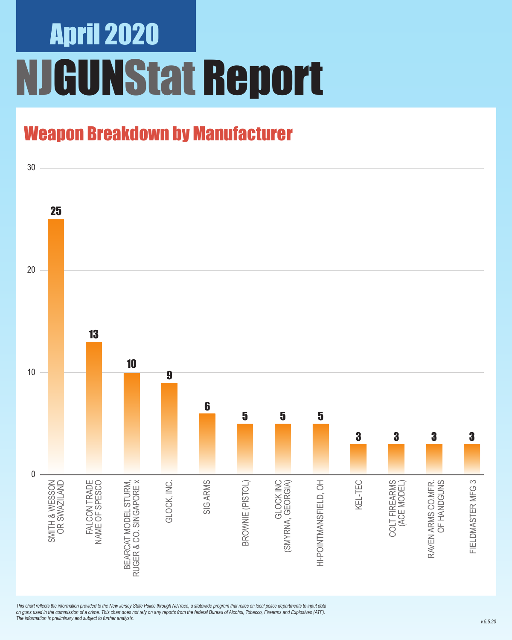### Weapon Breakdown by Manufacturer



*This chart reflects the information provided to the New Jersey State Police through NJTrace, a statewide program that relies on local police departments to input data on guns used in the commission of a crime. This chart does not rely on any reports from the federal Bureau of Alcohol, Tobacco, Firearms and Explosives (ATF). The information is preliminary and subject to further analysis.*